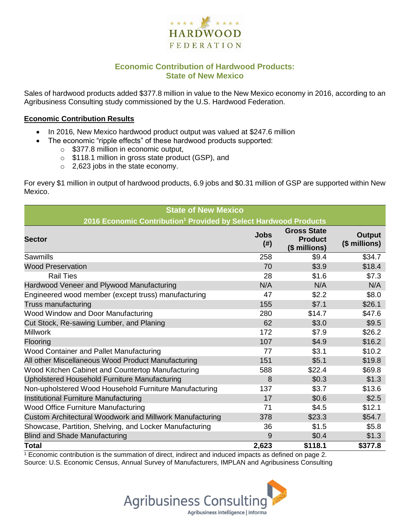

# **Economic Contribution of Hardwood Products: State of New Mexico**

Sales of hardwood products added \$377.8 million in value to the New Mexico economy in 2016, according to an Agribusiness Consulting study commissioned by the U.S. Hardwood Federation.

#### **Economic Contribution Results**

- In 2016, New Mexico hardwood product output was valued at \$247.6 million
	- The economic "ripple effects" of these hardwood products supported:
		- o \$377.8 million in economic output,
		- o \$118.1 million in gross state product (GSP), and
		- o 2,623 jobs in the state economy.

For every \$1 million in output of hardwood products, 6.9 jobs and \$0.31 million of GSP are supported within New Mexico.

| <b>State of New Mexico</b>                                                   |                     |                                                       |                         |  |  |  |
|------------------------------------------------------------------------------|---------------------|-------------------------------------------------------|-------------------------|--|--|--|
| 2016 Economic Contribution <sup>1</sup> Provided by Select Hardwood Products |                     |                                                       |                         |  |  |  |
| <b>Sector</b>                                                                | <b>Jobs</b><br>(# ) | <b>Gross State</b><br><b>Product</b><br>(\$ millions) | Output<br>(\$ millions) |  |  |  |
| Sawmills                                                                     | 258                 | \$9.4                                                 | \$34.7                  |  |  |  |
| <b>Wood Preservation</b>                                                     | 70                  | \$3.9                                                 | \$18.4                  |  |  |  |
| <b>Rail Ties</b>                                                             | 28                  | \$1.6                                                 | \$7.3                   |  |  |  |
| Hardwood Veneer and Plywood Manufacturing                                    | N/A                 | N/A                                                   | N/A                     |  |  |  |
| Engineered wood member (except truss) manufacturing                          | 47                  | \$2.2                                                 | \$8.0                   |  |  |  |
| Truss manufacturing                                                          | 155                 | \$7.1                                                 | \$26.1                  |  |  |  |
| Wood Window and Door Manufacturing                                           | 280                 | \$14.7                                                | \$47.6                  |  |  |  |
| Cut Stock, Re-sawing Lumber, and Planing                                     | 62                  | \$3.0                                                 | \$9.5                   |  |  |  |
| <b>Millwork</b>                                                              | 172                 | \$7.9                                                 | \$26.2                  |  |  |  |
| Flooring                                                                     | 107                 | \$4.9                                                 | \$16.2                  |  |  |  |
| Wood Container and Pallet Manufacturing                                      | 77                  | \$3.1                                                 | \$10.2                  |  |  |  |
| All other Miscellaneous Wood Product Manufacturing                           | 151                 | \$5.1                                                 | \$19.8                  |  |  |  |
| Wood Kitchen Cabinet and Countertop Manufacturing                            | 588                 | \$22.4                                                | \$69.8                  |  |  |  |
| Upholstered Household Furniture Manufacturing                                | 8                   | \$0.3                                                 | \$1.3                   |  |  |  |
| Non-upholstered Wood Household Furniture Manufacturing                       | 137                 | \$3.7                                                 | \$13.6                  |  |  |  |
| Institutional Furniture Manufacturing                                        | 17                  | \$0.6                                                 | \$2.5                   |  |  |  |
| Wood Office Furniture Manufacturing                                          | 71                  | \$4.5                                                 | \$12.1                  |  |  |  |
| Custom Architectural Woodwork and Millwork Manufacturing                     | 378                 | \$23.3                                                | \$54.7                  |  |  |  |
| Showcase, Partition, Shelving, and Locker Manufacturing                      | 36                  | \$1.5                                                 | \$5.8                   |  |  |  |
| <b>Blind and Shade Manufacturing</b>                                         | 9                   | \$0.4                                                 | \$1.3                   |  |  |  |
| <b>Total</b>                                                                 | 2,623               | \$118.1                                               | \$377.8                 |  |  |  |

 $1$  Economic contribution is the summation of direct, indirect and induced impacts as defined on page 2. Source: U.S. Economic Census, Annual Survey of Manufacturers, IMPLAN and Agribusiness Consulting